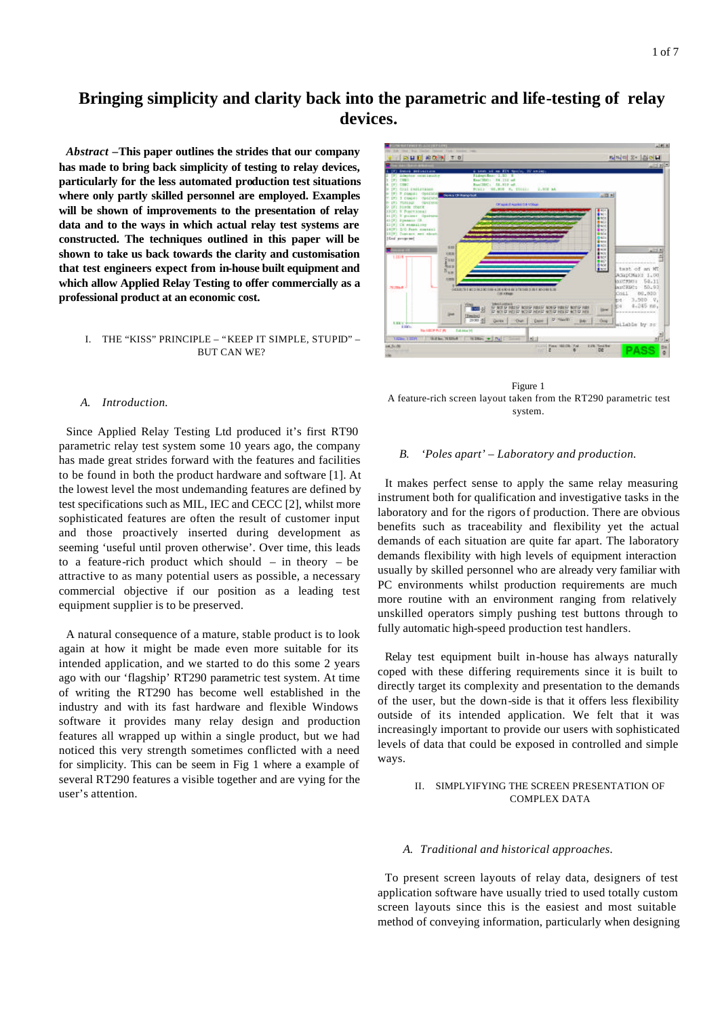# **Bringing simplicity and clarity back into the parametric and life-testing of relay devices.**

*Abstract* **–This paper outlines the strides that our company has made to bring back simplicity of testing to relay devices, particularly for the less automated production test situations where only partly skilled personnel are employed. Examples will be shown of improvements to the presentation of relay data and to the ways in which actual relay test systems are constructed. The techniques outlined in this paper will be shown to take us back towards the clarity and customisation that test engineers expect from in-house built equipment and which allow Applied Relay Testing to offer commercially as a professional product at an economic cost.**

# I. THE "KISS" PRINCIPLE – "KEEP IT SIMPLE, STUPID" – BUT CAN WE?

### *A. Introduction.*

Since Applied Relay Testing Ltd produced it's first RT90 parametric relay test system some 10 years ago, the company has made great strides forward with the features and facilities to be found in both the product hardware and software [1]. At the lowest level the most undemanding features are defined by test specifications such as MIL, IEC and CECC [2], whilst more sophisticated features are often the result of customer input and those proactively inserted during development as seeming 'useful until proven otherwise'. Over time, this leads to a feature-rich product which should  $-$  in theory  $-$  be attractive to as many potential users as possible, a necessary commercial objective if our position as a leading test equipment supplier is to be preserved.

A natural consequence of a mature, stable product is to look again at how it might be made even more suitable for its intended application, and we started to do this some 2 years ago with our 'flagship' RT290 parametric test system. At time of writing the RT290 has become well established in the industry and with its fast hardware and flexible Windows software it provides many relay design and production features all wrapped up within a single product, but we had noticed this very strength sometimes conflicted with a need for simplicity. This can be seem in Fig 1 where a example of several RT290 features a visible together and are vying for the user's attention.



Figure 1 A feature-rich screen layout taken from the RT290 parametric test system.

# *B. 'Poles apart' – Laboratory and production.*

It makes perfect sense to apply the same relay measuring instrument both for qualification and investigative tasks in the laboratory and for the rigors of production. There are obvious benefits such as traceability and flexibility yet the actual demands of each situation are quite far apart. The laboratory demands flexibility with high levels of equipment interaction usually by skilled personnel who are already very familiar with PC environments whilst production requirements are much more routine with an environment ranging from relatively unskilled operators simply pushing test buttons through to fully automatic high-speed production test handlers.

Relay test equipment built in-house has always naturally coped with these differing requirements since it is built to directly target its complexity and presentation to the demands of the user, but the down-side is that it offers less flexibility outside of its intended application. We felt that it was increasingly important to provide our users with sophisticated levels of data that could be exposed in controlled and simple ways.

## II. SIMPLYIFYING THE SCREEN PRESENTATION OF COMPLEX DATA

#### *A. Traditional and historical approaches.*

To present screen layouts of relay data, designers of test application software have usually tried to used totally custom screen layouts since this is the easiest and most suitable method of conveying information, particularly when designing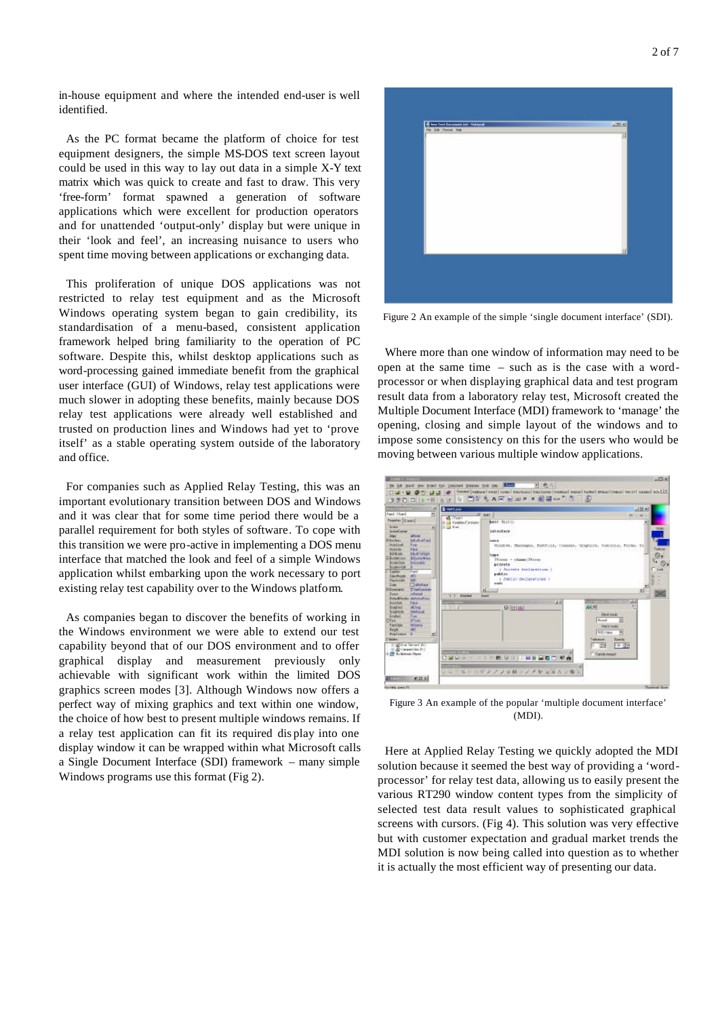in-house equipment and where the intended end-user is well identified.

As the PC format became the platform of choice for test equipment designers, the simple MS-DOS text screen layout could be used in this way to lay out data in a simple X-Y text matrix which was quick to create and fast to draw. This very 'free-form' format spawned a generation of software applications which were excellent for production operators and for unattended 'output-only' display but were unique in their 'look and feel', an increasing nuisance to users who spent time moving between applications or exchanging data.

This proliferation of unique DOS applications was not restricted to relay test equipment and as the Microsoft Windows operating system began to gain credibility, its standardisation of a menu-based, consistent application framework helped bring familiarity to the operation of PC software. Despite this, whilst desktop applications such as word-processing gained immediate benefit from the graphical user interface (GUI) of Windows, relay test applications were much slower in adopting these benefits, mainly because DOS relay test applications were already well established and trusted on production lines and Windows had yet to 'prove itself' as a stable operating system outside of the laboratory and office.

For companies such as Applied Relay Testing, this was an important evolutionary transition between DOS and Windows and it was clear that for some time period there would be a parallel requirement for both styles of software. To cope with this transition we were pro-active in implementing a DOS menu interface that matched the look and feel of a simple Windows application whilst embarking upon the work necessary to port existing relay test capability over to the Windows platform.

As companies began to discover the benefits of working in the Windows environment we were able to extend our test capability beyond that of our DOS environment and to offer graphical display and measurement previously only achievable with significant work within the limited DOS graphics screen modes [3]. Although Windows now offers a perfect way of mixing graphics and text within one window, the choice of how best to present multiple windows remains. If a relay test application can fit its required dis play into one display window it can be wrapped within what Microsoft calls a Single Document Interface (SDI) framework – many simple Windows programs use this format (Fig 2).



Figure 2 An example of the simple 'single document interface' (SDI).

Where more than one window of information may need to be open at the same time – such as is the case with a wordprocessor or when displaying graphical data and test program result data from a laboratory relay test, Microsoft created the Multiple Document Interface (MDI) framework to 'manage' the opening, closing and simple layout of the windows and to impose some consistency on this for the users who would be moving between various multiple window applications.



Figure 3 An example of the popular 'multiple document interface' (MDI).

Here at Applied Relay Testing we quickly adopted the MDI solution because it seemed the best way of providing a 'wordprocessor' for relay test data, allowing us to easily present the various RT290 window content types from the simplicity of selected test data result values to sophisticated graphical screens with cursors. (Fig 4). This solution was very effective but with customer expectation and gradual market trends the MDI solution is now being called into question as to whether it is actually the most efficient way of presenting our data.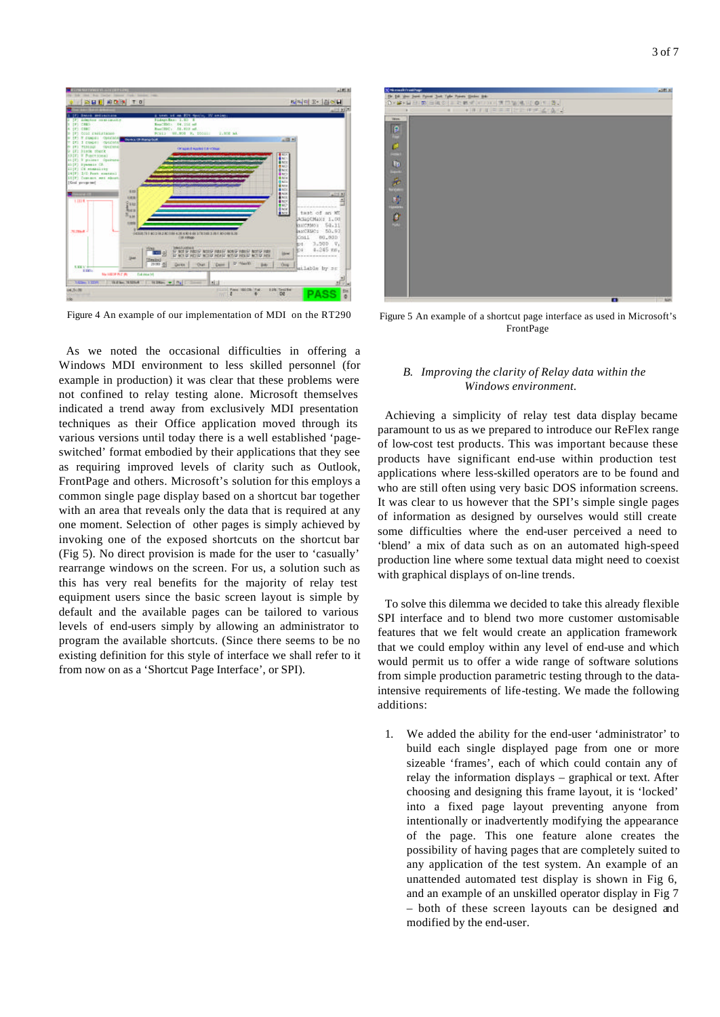



Figure 4 An example of our implementation of MDI on the RT290

As we noted the occasional difficulties in offering a Windows MDI environment to less skilled personnel (for example in production) it was clear that these problems were not confined to relay testing alone. Microsoft themselves indicated a trend away from exclusively MDI presentation techniques as their Office application moved through its various versions until today there is a well established 'pageswitched' format embodied by their applications that they see as requiring improved levels of clarity such as Outlook, FrontPage and others. Microsoft's solution for this employs a common single page display based on a shortcut bar together with an area that reveals only the data that is required at any one moment. Selection of other pages is simply achieved by invoking one of the exposed shortcuts on the shortcut bar (Fig 5). No direct provision is made for the user to 'casually' rearrange windows on the screen. For us, a solution such as this has very real benefits for the majority of relay test equipment users since the basic screen layout is simple by default and the available pages can be tailored to various levels of end-users simply by allowing an administrator to program the available shortcuts. (Since there seems to be no existing definition for this style of interface we shall refer to it from now on as a 'Shortcut Page Interface', or SPI).



Figure 5 An example of a shortcut page interface as used in Microsoft's FrontPage

# *B. Improving the clarity of Relay data within the Windows environment.*

Achieving a simplicity of relay test data display became paramount to us as we prepared to introduce our ReFlex range of low-cost test products. This was important because these products have significant end-use within production test applications where less-skilled operators are to be found and who are still often using very basic DOS information screens. It was clear to us however that the SPI's simple single pages of information as designed by ourselves would still create some difficulties where the end-user perceived a need to 'blend' a mix of data such as on an automated high-speed production line where some textual data might need to coexist with graphical displays of on-line trends.

To solve this dilemma we decided to take this already flexible SPI interface and to blend two more customer customisable features that we felt would create an application framework that we could employ within any level of end-use and which would permit us to offer a wide range of software solutions from simple production parametric testing through to the dataintensive requirements of life-testing. We made the following additions:

1. We added the ability for the end-user 'administrator' to build each single displayed page from one or more sizeable 'frames', each of which could contain any of relay the information displays – graphical or text. After choosing and designing this frame layout, it is 'locked' into a fixed page layout preventing anyone from intentionally or inadvertently modifying the appearance of the page. This one feature alone creates the possibility of having pages that are completely suited to any application of the test system. An example of an unattended automated test display is shown in Fig 6, and an example of an unskilled operator display in Fig 7 – both of these screen layouts can be designed and modified by the end-user.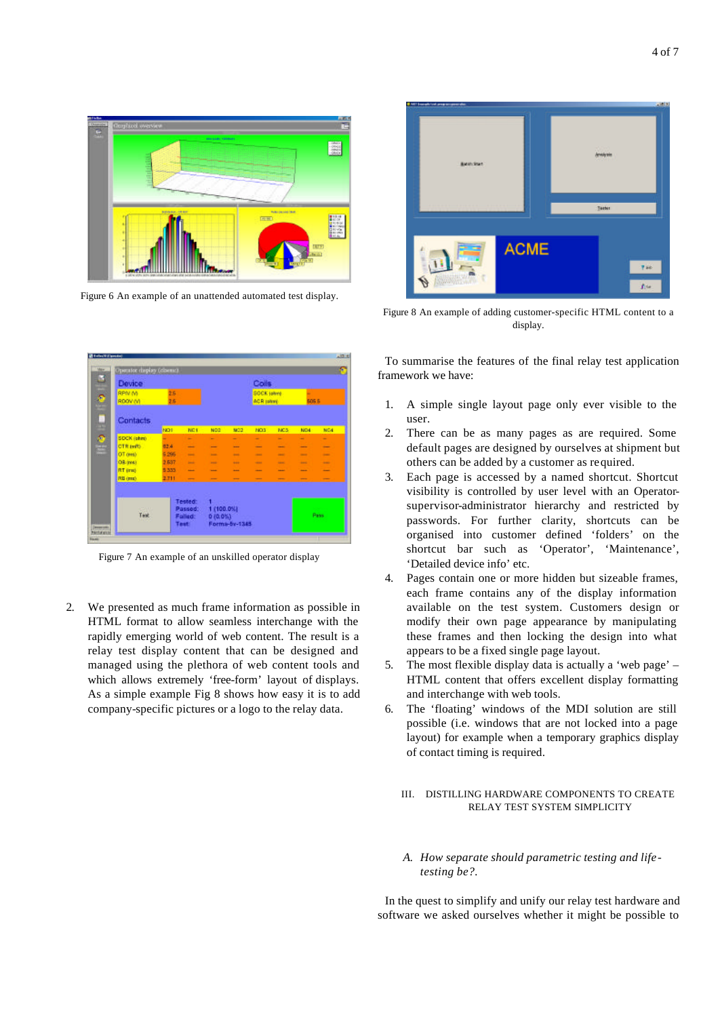

Figure 6 An example of an unattended automated test display.



Figure 7 An example of an unskilled operator display

2. We presented as much frame information as possible in HTML format to allow seamless interchange with the rapidly emerging world of web content. The result is a relay test display content that can be designed and managed using the plethora of web content tools and which allows extremely 'free-form' layout of displays. As a simple example Fig 8 shows how easy it is to add company-specific pictures or a logo to the relay data.



Figure 8 An example of adding customer-specific HTML content to a display.

To summarise the features of the final relay test application framework we have:

- 1. A simple single layout page only ever visible to the user.
- 2. There can be as many pages as are required. Some default pages are designed by ourselves at shipment but others can be added by a customer as required.
- 3. Each page is accessed by a named shortcut. Shortcut visibility is controlled by user level with an Operatorsupervisor-administrator hierarchy and restricted by passwords. For further clarity, shortcuts can be organised into customer defined 'folders' on the shortcut bar such as 'Operator', 'Maintenance', 'Detailed device info' etc.
- 4. Pages contain one or more hidden but sizeable frames, each frame contains any of the display information available on the test system. Customers design or modify their own page appearance by manipulating these frames and then locking the design into what appears to be a fixed single page layout.
- 5. The most flexible display data is actually a 'web page' HTML content that offers excellent display formatting and interchange with web tools.
- 6. The 'floating' windows of the MDI solution are still possible (i.e. windows that are not locked into a page layout) for example when a temporary graphics display of contact timing is required.

# III. DISTILLING HARDWARE COMPONENTS TO CREATE RELAY TEST SYSTEM SIMPLICITY

*A. How separate should parametric testing and lifetesting be?.*

In the quest to simplify and unify our relay test hardware and software we asked ourselves whether it might be possible to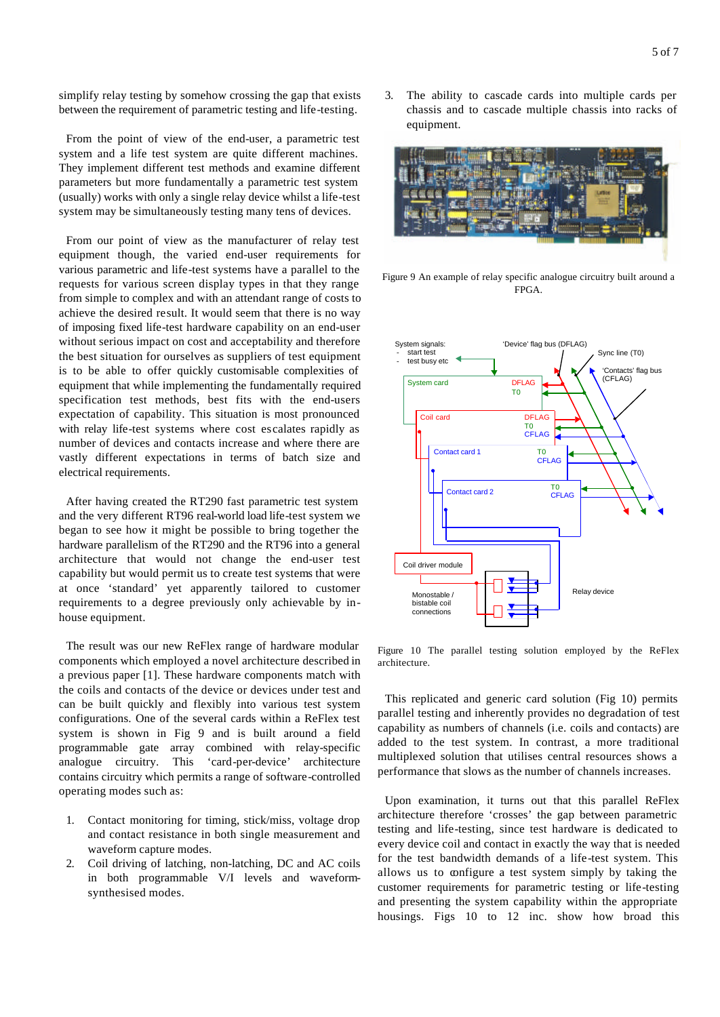simplify relay testing by somehow crossing the gap that exists between the requirement of parametric testing and life-testing.

From the point of view of the end-user, a parametric test system and a life test system are quite different machines. They implement different test methods and examine different parameters but more fundamentally a parametric test system (usually) works with only a single relay device whilst a life-test system may be simultaneously testing many tens of devices.

From our point of view as the manufacturer of relay test equipment though, the varied end-user requirements for various parametric and life-test systems have a parallel to the requests for various screen display types in that they range from simple to complex and with an attendant range of costs to achieve the desired result. It would seem that there is no way of imposing fixed life-test hardware capability on an end-user without serious impact on cost and acceptability and therefore the best situation for ourselves as suppliers of test equipment is to be able to offer quickly customisable complexities of equipment that while implementing the fundamentally required specification test methods, best fits with the end-users expectation of capability. This situation is most pronounced with relay life-test systems where cost escalates rapidly as number of devices and contacts increase and where there are vastly different expectations in terms of batch size and electrical requirements.

After having created the RT290 fast parametric test system and the very different RT96 real-world load life-test system we began to see how it might be possible to bring together the hardware parallelism of the RT290 and the RT96 into a general architecture that would not change the end-user test capability but would permit us to create test systems that were at once 'standard' yet apparently tailored to customer requirements to a degree previously only achievable by inhouse equipment.

The result was our new ReFlex range of hardware modular components which employed a novel architecture described in a previous paper [1]. These hardware components match with the coils and contacts of the device or devices under test and can be built quickly and flexibly into various test system configurations. One of the several cards within a ReFlex test system is shown in Fig 9 and is built around a field programmable gate array combined with relay-specific analogue circuitry. This 'card-per-device' architecture contains circuitry which permits a range of software-controlled operating modes such as:

- 1. Contact monitoring for timing, stick/miss, voltage drop and contact resistance in both single measurement and waveform capture modes.
- 2. Coil driving of latching, non-latching, DC and AC coils in both programmable V/I levels and waveformsynthesised modes.

3. The ability to cascade cards into multiple cards per chassis and to cascade multiple chassis into racks of equipment.



Figure 9 An example of relay specific analogue circuitry built around a FPGA.



Figure 10 The parallel testing solution employed by the ReFlex architecture.

This replicated and generic card solution (Fig 10) permits parallel testing and inherently provides no degradation of test capability as numbers of channels (i.e. coils and contacts) are added to the test system. In contrast, a more traditional multiplexed solution that utilises central resources shows a performance that slows as the number of channels increases.

Upon examination, it turns out that this parallel ReFlex architecture therefore 'crosses' the gap between parametric testing and life-testing, since test hardware is dedicated to every device coil and contact in exactly the way that is needed for the test bandwidth demands of a life-test system. This allows us to configure a test system simply by taking the customer requirements for parametric testing or life-testing and presenting the system capability within the appropriate housings. Figs 10 to 12 inc. show how broad this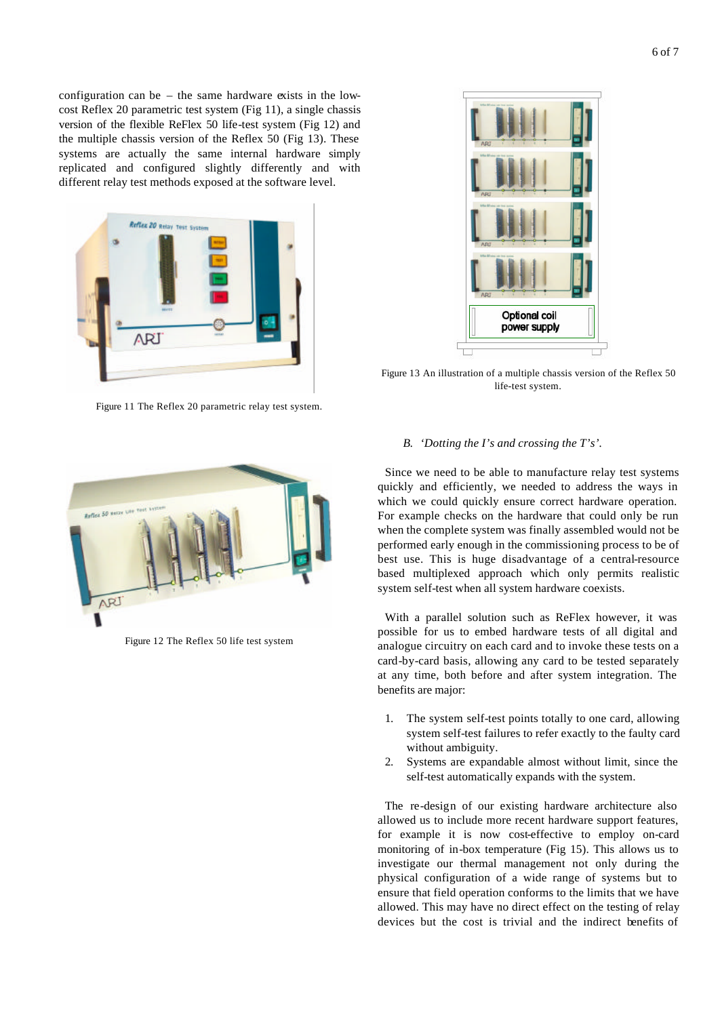configuration can be – the same hardware exists in the lowcost Reflex 20 parametric test system (Fig 11), a single chassis version of the flexible ReFlex 50 life-test system (Fig 12) and the multiple chassis version of the Reflex 50 (Fig 13). These systems are actually the same internal hardware simply replicated and configured slightly differently and with different relay test methods exposed at the software level.



Figure 11 The Reflex 20 parametric relay test system.



Figure 12 The Reflex 50 life test system



Figure 13 An illustration of a multiple chassis version of the Reflex 50 life-test system.

# *B. 'Dotting the I's and crossing the T's'.*

Since we need to be able to manufacture relay test systems quickly and efficiently, we needed to address the ways in which we could quickly ensure correct hardware operation. For example checks on the hardware that could only be run when the complete system was finally assembled would not be performed early enough in the commissioning process to be of best use. This is huge disadvantage of a central-resource based multiplexed approach which only permits realistic system self-test when all system hardware coexists.

With a parallel solution such as ReFlex however, it was possible for us to embed hardware tests of all digital and analogue circuitry on each card and to invoke these tests on a card-by-card basis, allowing any card to be tested separately at any time, both before and after system integration. The benefits are major:

- 1. The system self-test points totally to one card, allowing system self-test failures to refer exactly to the faulty card without ambiguity.
- 2. Systems are expandable almost without limit, since the self-test automatically expands with the system.

The re-design of our existing hardware architecture also allowed us to include more recent hardware support features, for example it is now cost-effective to employ on-card monitoring of in-box temperature (Fig 15). This allows us to investigate our thermal management not only during the physical configuration of a wide range of systems but to ensure that field operation conforms to the limits that we have allowed. This may have no direct effect on the testing of relay devices but the cost is trivial and the indirect benefits of